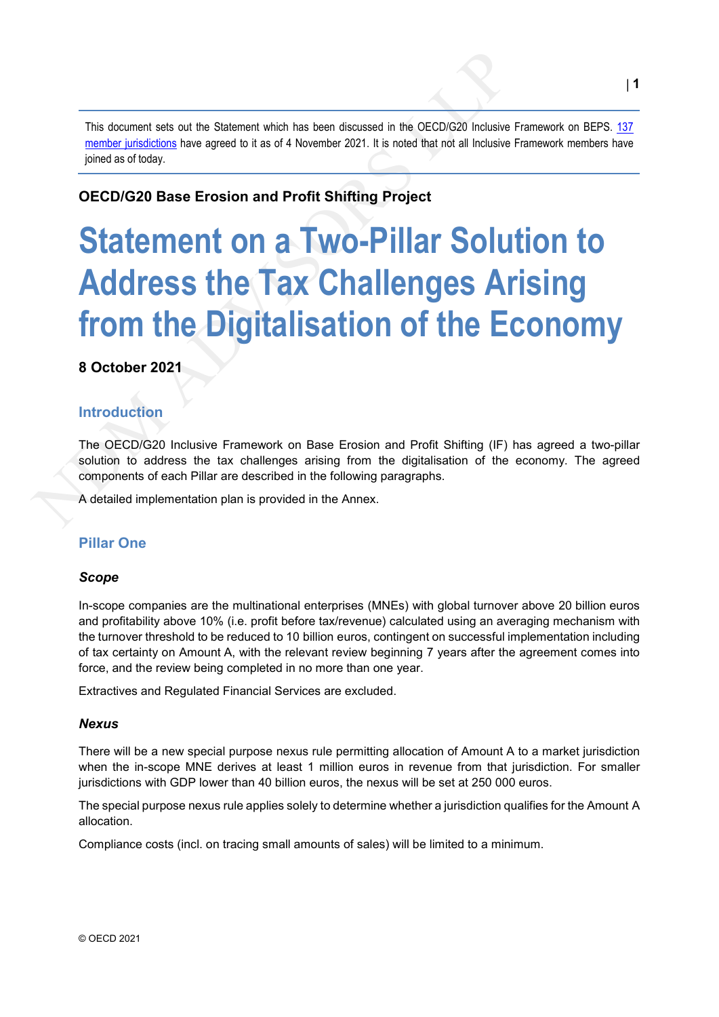This document sets out the Statement which has been discussed in the OECD/G20 Inclusive Framework on BEPS. 137 member jurisdictions have agreed to it as of 4 November 2021. It is noted that not all Inclusive Framework members have joined as of today.

# **OECD/G20 Base Erosion and Profit Shifting Project**

# This document sets out the Statement which has been discussed in the OECD/G20 Inclusive Fr<br>
member jurisdictions have agreed to it as of 4 November 2021. It is noted that not all Inclusive Fr<br>
juined as of today.<br>
OECD/G20 **Statement on a Two-Pillar Solution to Address the Tax Challenges Arising from the Digitalisation of the Economy**

# **8 October 2021**

# **Introduction**

The OECD/G20 Inclusive Framework on Base Erosion and Profit Shifting (IF) has agreed a two-pillar solution to address the tax challenges arising from the digitalisation of the economy. The agreed components of each Pillar are described in the following paragraphs.

A detailed implementation plan is provided in the Annex.

# **Pillar One**

#### *Scope*

In-scope companies are the multinational enterprises (MNEs) with global turnover above 20 billion euros and profitability above 10% (i.e. profit before tax/revenue) calculated using an averaging mechanism with the turnover threshold to be reduced to 10 billion euros, contingent on successful implementation including of tax certainty on Amount A, with the relevant review beginning 7 years after the agreement comes into force, and the review being completed in no more than one year.

Extractives and Regulated Financial Services are excluded.

#### *Nexus*

There will be a new special purpose nexus rule permitting allocation of Amount A to a market jurisdiction when the in-scope MNE derives at least 1 million euros in revenue from that jurisdiction. For smaller jurisdictions with GDP lower than 40 billion euros, the nexus will be set at 250 000 euros.

The special purpose nexus rule applies solely to determine whether a jurisdiction qualifies for the Amount A allocation.

Compliance costs (incl. on tracing small amounts of sales) will be limited to a minimum.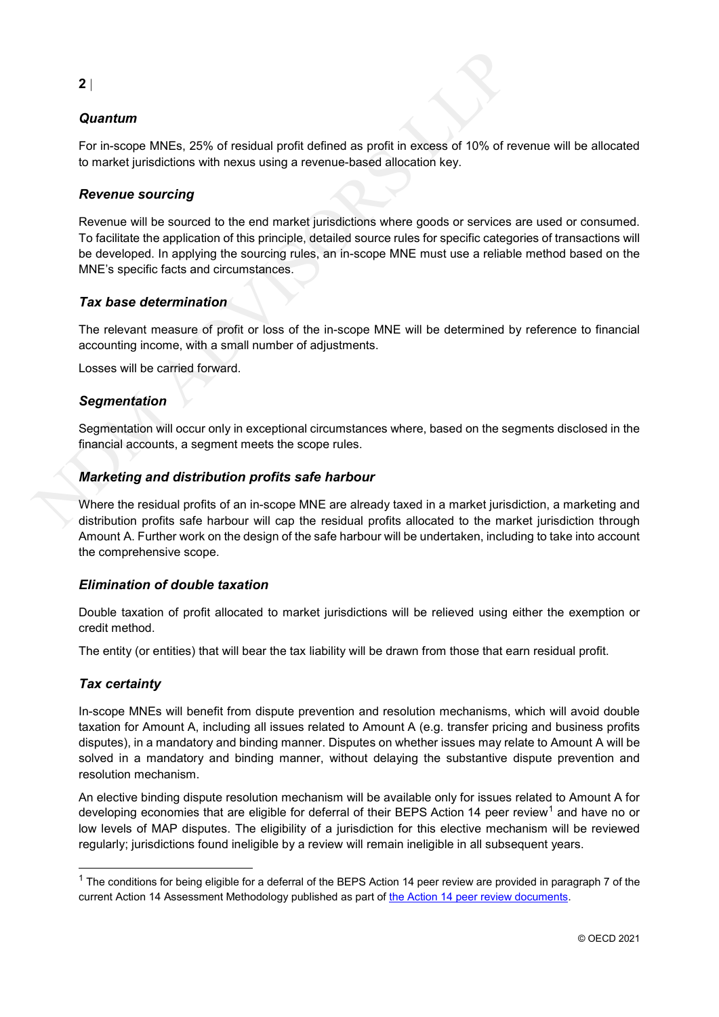# *Quantum*

For in-scope MNEs, 25% of residual profit defined as profit in excess of 10% of revenue will be allocated to market jurisdictions with nexus using a revenue-based allocation key.

# *Revenue sourcing*

2 |<br> **Quantum**<br>
For in-scope MNEs, 25% of residual profit defined as profit in excess of 10% of rev<br>
to market jurisdictions with nexus using a revenue-based allocation key.<br> **Revenue sourcing**<br>
Revenue sourcing<br>
Revenue Revenue will be sourced to the end market jurisdictions where goods or services are used or consumed. To facilitate the application of this principle, detailed source rules for specific categories of transactions will be developed. In applying the sourcing rules, an in-scope MNE must use a reliable method based on the MNE's specific facts and circumstances.

# *Tax base determination*

The relevant measure of profit or loss of the in-scope MNE will be determined by reference to financial accounting income, with a small number of adjustments.

Losses will be carried forward.

# *Segmentation*

Segmentation will occur only in exceptional circumstances where, based on the segments disclosed in the financial accounts, a segment meets the scope rules.

# *Marketing and distribution profits safe harbour*

Where the residual profits of an in-scope MNE are already taxed in a market jurisdiction, a marketing and distribution profits safe harbour will cap the residual profits allocated to the market jurisdiction through Amount A. Further work on the design of the safe harbour will be undertaken, including to take into account the comprehensive scope.

#### *Elimination of double taxation*

Double taxation of profit allocated to market jurisdictions will be relieved using either the exemption or credit method.

The entity (or entities) that will bear the tax liability will be drawn from those that earn residual profit.

# *Tax certainty*

In-scope MNEs will benefit from dispute prevention and resolution mechanisms, which will avoid double taxation for Amount A, including all issues related to Amount A (e.g. transfer pricing and business profits disputes), in a mandatory and binding manner. Disputes on whether issues may relate to Amount A will be solved in a mandatory and binding manner, without delaying the substantive dispute prevention and resolution mechanism.

An elective binding dispute resolution mechanism will be available only for issues related to Amount A for developing economies that are eligible for deferral of their BEPS Action 14 peer review<sup>1</sup> and have no or low levels of MAP disputes. The eligibility of a jurisdiction for this elective mechanism will be reviewed regularly; jurisdictions found ineligible by a review will remain ineligible in all subsequent years.

**2** |

 $1$  The conditions for being eligible for a deferral of the BEPS Action 14 peer review are provided in paragraph 7 of the current Action 14 Assessment Methodology published as part of the Action 14 peer review documents.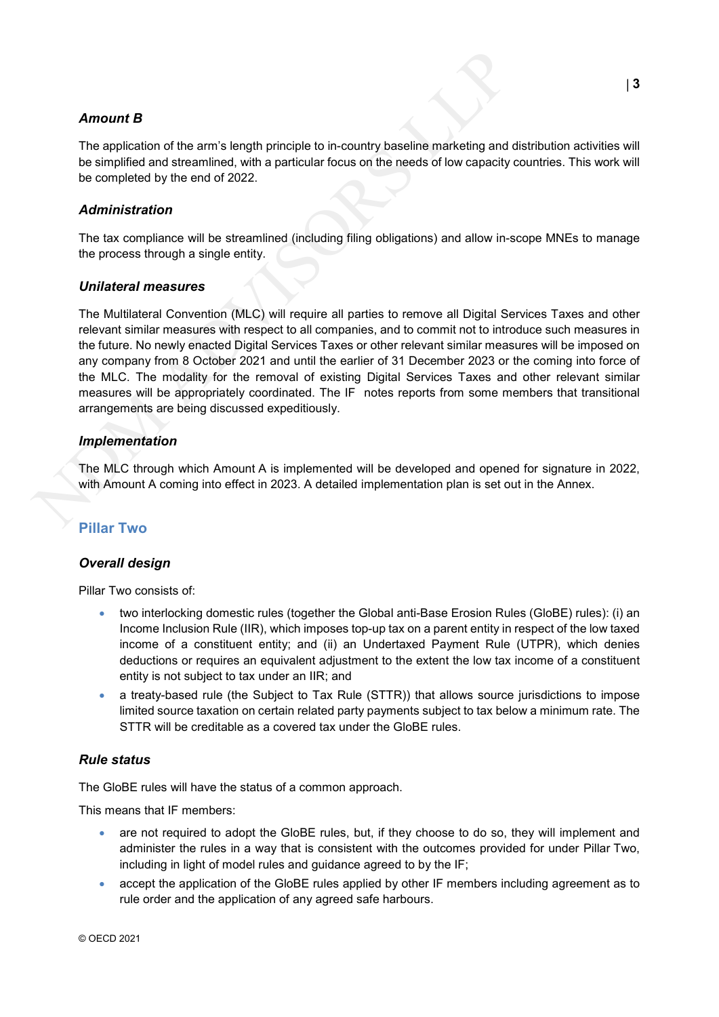# *Amount B*

The application of the arm's length principle to in-country baseline marketing and distribution activities will be simplified and streamlined, with a particular focus on the needs of low capacity countries. This work will be completed by the end of 2022.

### *Administration*

The tax compliance will be streamlined (including filing obligations) and allow in-scope MNEs to manage the process through a single entity.

#### *Unilateral measures*

**Amount B**<br>
The application of the arm's length principle to in-country baseline marketing and di<br>
be simplified and streamlined, with a particular focus on the needs of low capacity cc<br>
be completed by the end of 2022.<br> The Multilateral Convention (MLC) will require all parties to remove all Digital Services Taxes and other relevant similar measures with respect to all companies, and to commit not to introduce such measures in the future. No newly enacted Digital Services Taxes or other relevant similar measures will be imposed on any company from 8 October 2021 and until the earlier of 31 December 2023 or the coming into force of the MLC. The modality for the removal of existing Digital Services Taxes and other relevant similar measures will be appropriately coordinated. The IF notes reports from some members that transitional arrangements are being discussed expeditiously.

#### *Implementation*

The MLC through which Amount A is implemented will be developed and opened for signature in 2022, with Amount A coming into effect in 2023. A detailed implementation plan is set out in the Annex.

# **Pillar Two**

#### *Overall design*

Pillar Two consists of:

- two interlocking domestic rules (together the Global anti-Base Erosion Rules (GloBE) rules): (i) an Income Inclusion Rule (IIR), which imposes top-up tax on a parent entity in respect of the low taxed income of a constituent entity; and (ii) an Undertaxed Payment Rule (UTPR), which denies deductions or requires an equivalent adjustment to the extent the low tax income of a constituent entity is not subject to tax under an IIR; and
- a treaty-based rule (the Subject to Tax Rule (STTR)) that allows source jurisdictions to impose limited source taxation on certain related party payments subject to tax below a minimum rate. The STTR will be creditable as a covered tax under the GloBE rules.

#### *Rule status*

The GloBE rules will have the status of a common approach.

This means that IF members:

- are not required to adopt the GloBE rules, but, if they choose to do so, they will implement and administer the rules in a way that is consistent with the outcomes provided for under Pillar Two, including in light of model rules and guidance agreed to by the IF;
- accept the application of the GloBE rules applied by other IF members including agreement as to rule order and the application of any agreed safe harbours.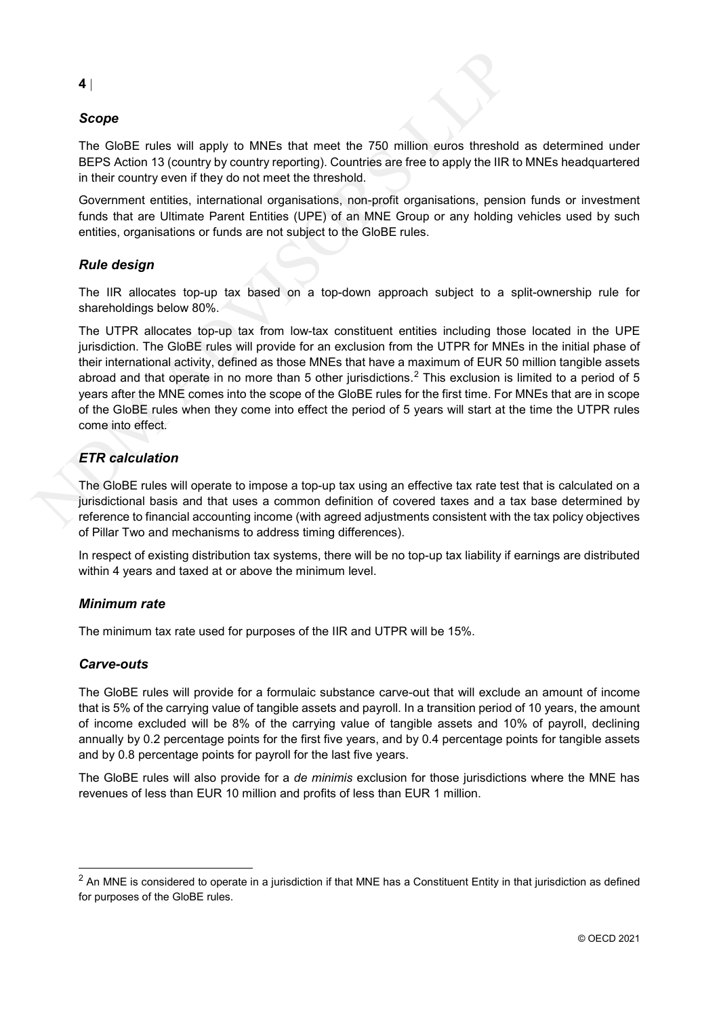# *Scope*

The GloBE rules will apply to MNEs that meet the 750 million euros threshold as determined under BEPS Action 13 (country by country reporting). Countries are free to apply the IIR to MNEs headquartered in their country even if they do not meet the threshold.

Government entities, international organisations, non-profit organisations, pension funds or investment funds that are Ultimate Parent Entities (UPE) of an MNE Group or any holding vehicles used by such entities, organisations or funds are not subject to the GloBE rules.

# *Rule design*

The IIR allocates top-up tax based on a top-down approach subject to a split-ownership rule for shareholdings below 80%.

**4** |<br>
Scope<br>
The GloBE rules will apply to MNEs that meet the 750 million euros threshold<br>
BEPS Action 13 (country by country reporting). Countries are free to apply the IIR to<br>
in their country even if they do not meet The UTPR allocates top-up tax from low-tax constituent entities including those located in the UPE jurisdiction. The GloBE rules will provide for an exclusion from the UTPR for MNEs in the initial phase of their international activity, defined as those MNEs that have a maximum of EUR 50 million tangible assets abroad and that operate in no more than 5 other jurisdictions.<sup>2</sup> This exclusion is limited to a period of 5 years after the MNE comes into the scope of the GloBE rules for the first time. For MNEs that are in scope of the GloBE rules when they come into effect the period of 5 years will start at the time the UTPR rules come into effect.

# *ETR calculation*

The GloBE rules will operate to impose a top-up tax using an effective tax rate test that is calculated on a jurisdictional basis and that uses a common definition of covered taxes and a tax base determined by reference to financial accounting income (with agreed adjustments consistent with the tax policy objectives of Pillar Two and mechanisms to address timing differences).

In respect of existing distribution tax systems, there will be no top-up tax liability if earnings are distributed within 4 years and taxed at or above the minimum level.

#### *Minimum rate*

The minimum tax rate used for purposes of the IIR and UTPR will be 15%.

#### *Carve-outs*

The GloBE rules will provide for a formulaic substance carve-out that will exclude an amount of income that is 5% of the carrying value of tangible assets and payroll. In a transition period of 10 years, the amount of income excluded will be 8% of the carrying value of tangible assets and 10% of payroll, declining annually by 0.2 percentage points for the first five years, and by 0.4 percentage points for tangible assets and by 0.8 percentage points for payroll for the last five years.

The GloBE rules will also provide for a *de minimis* exclusion for those jurisdictions where the MNE has revenues of less than EUR 10 million and profits of less than EUR 1 million.

#### **4** |

 $<sup>2</sup>$  An MNE is considered to operate in a jurisdiction if that MNE has a Constituent Entity in that jurisdiction as defined</sup> for purposes of the GloBE rules.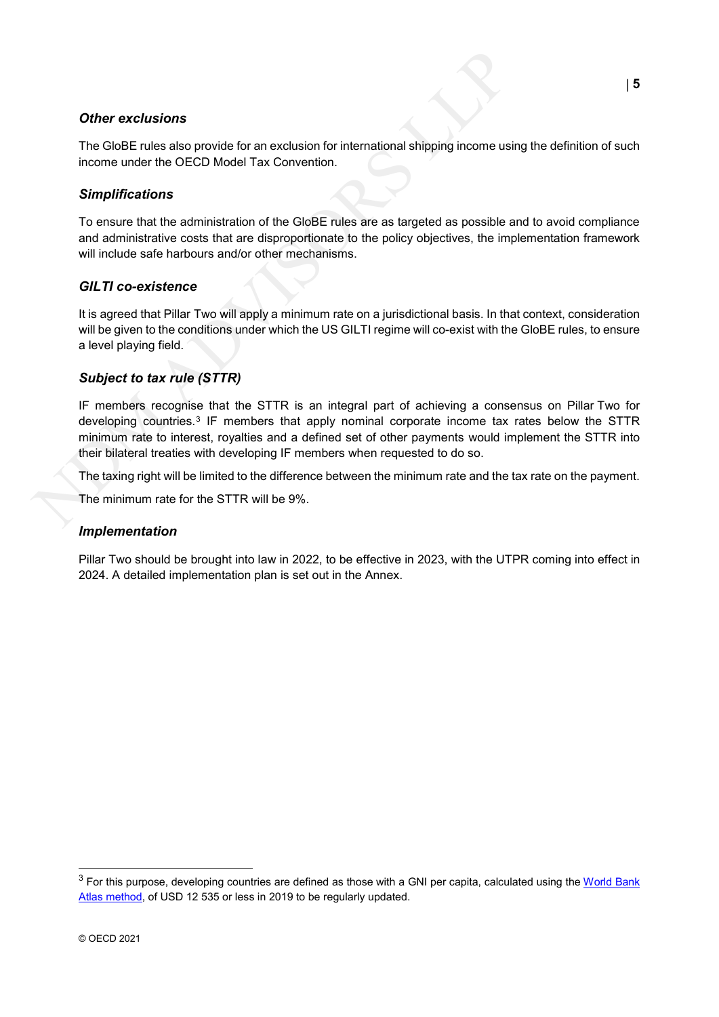# *Other exclusions*

The GloBE rules also provide for an exclusion for international shipping income using the definition of such income under the OECD Model Tax Convention.

# *Simplifications*

To ensure that the administration of the GloBE rules are as targeted as possible and to avoid compliance and administrative costs that are disproportionate to the policy objectives, the implementation framework will include safe harbours and/or other mechanisms.

# *GILTI co-existence*

It is agreed that Pillar Two will apply a minimum rate on a jurisdictional basis. In that context, consideration will be given to the conditions under which the US GILTI regime will co-exist with the GloBE rules, to ensure a level playing field.

# *Subject to tax rule (STTR)*

**Other exclusions**<br>
The GloBE rules also provide for an exclusion for international shipping income using<br>
income under the OECD Model Tax Convention.<br> **Simplifications**<br>
To ensure that the administration of the GloBE rule IF members recognise that the STTR is an integral part of achieving a consensus on Pillar Two for developing countries.3 IF members that apply nominal corporate income tax rates below the STTR minimum rate to interest, royalties and a defined set of other payments would implement the STTR into their bilateral treaties with developing IF members when requested to do so.

The taxing right will be limited to the difference between the minimum rate and the tax rate on the payment.

The minimum rate for the STTR will be 9%.

#### *Implementation*

Pillar Two should be brought into law in 2022, to be effective in 2023, with the UTPR coming into effect in 2024. A detailed implementation plan is set out in the Annex.

 $3$  For this purpose, developing countries are defined as those with a GNI per capita, calculated using the World Bank Atlas method, of USD 12 535 or less in 2019 to be regularly updated.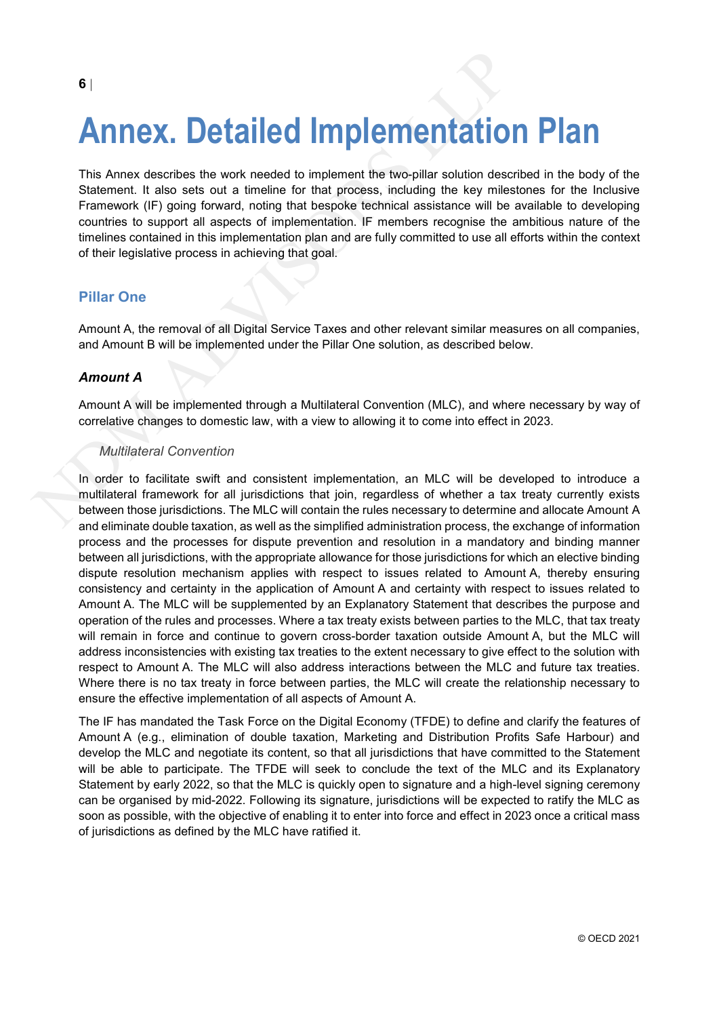# **Annex. Detailed Implementation Plan**

**Annex describes the work needed to implement the two-pillar solution describes and schement. It also sets out a timeline for that process, including the key milest Framework (iF) going forward, noting that bespoke techni** This Annex describes the work needed to implement the two-pillar solution described in the body of the Statement. It also sets out a timeline for that process, including the key milestones for the Inclusive Framework (IF) going forward, noting that bespoke technical assistance will be available to developing countries to support all aspects of implementation. IF members recognise the ambitious nature of the timelines contained in this implementation plan and are fully committed to use all efforts within the context of their legislative process in achieving that goal.

# **Pillar One**

Amount A, the removal of all Digital Service Taxes and other relevant similar measures on all companies, and Amount B will be implemented under the Pillar One solution, as described below.

#### *Amount A*

Amount A will be implemented through a Multilateral Convention (MLC), and where necessary by way of correlative changes to domestic law, with a view to allowing it to come into effect in 2023.

#### *Multilateral Convention*

In order to facilitate swift and consistent implementation, an MLC will be developed to introduce a multilateral framework for all jurisdictions that join, regardless of whether a tax treaty currently exists between those jurisdictions. The MLC will contain the rules necessary to determine and allocate Amount A and eliminate double taxation, as well as the simplified administration process, the exchange of information process and the processes for dispute prevention and resolution in a mandatory and binding manner between all jurisdictions, with the appropriate allowance for those jurisdictions for which an elective binding dispute resolution mechanism applies with respect to issues related to Amount A, thereby ensuring consistency and certainty in the application of Amount A and certainty with respect to issues related to Amount A. The MLC will be supplemented by an Explanatory Statement that describes the purpose and operation of the rules and processes. Where a tax treaty exists between parties to the MLC, that tax treaty will remain in force and continue to govern cross-border taxation outside Amount A, but the MLC will address inconsistencies with existing tax treaties to the extent necessary to give effect to the solution with respect to Amount A. The MLC will also address interactions between the MLC and future tax treaties. Where there is no tax treaty in force between parties, the MLC will create the relationship necessary to ensure the effective implementation of all aspects of Amount A.

The IF has mandated the Task Force on the Digital Economy (TFDE) to define and clarify the features of Amount A (e.g., elimination of double taxation, Marketing and Distribution Profits Safe Harbour) and develop the MLC and negotiate its content, so that all jurisdictions that have committed to the Statement will be able to participate. The TFDE will seek to conclude the text of the MLC and its Explanatory Statement by early 2022, so that the MLC is quickly open to signature and a high-level signing ceremony can be organised by mid-2022. Following its signature, jurisdictions will be expected to ratify the MLC as soon as possible, with the objective of enabling it to enter into force and effect in 2023 once a critical mass of jurisdictions as defined by the MLC have ratified it.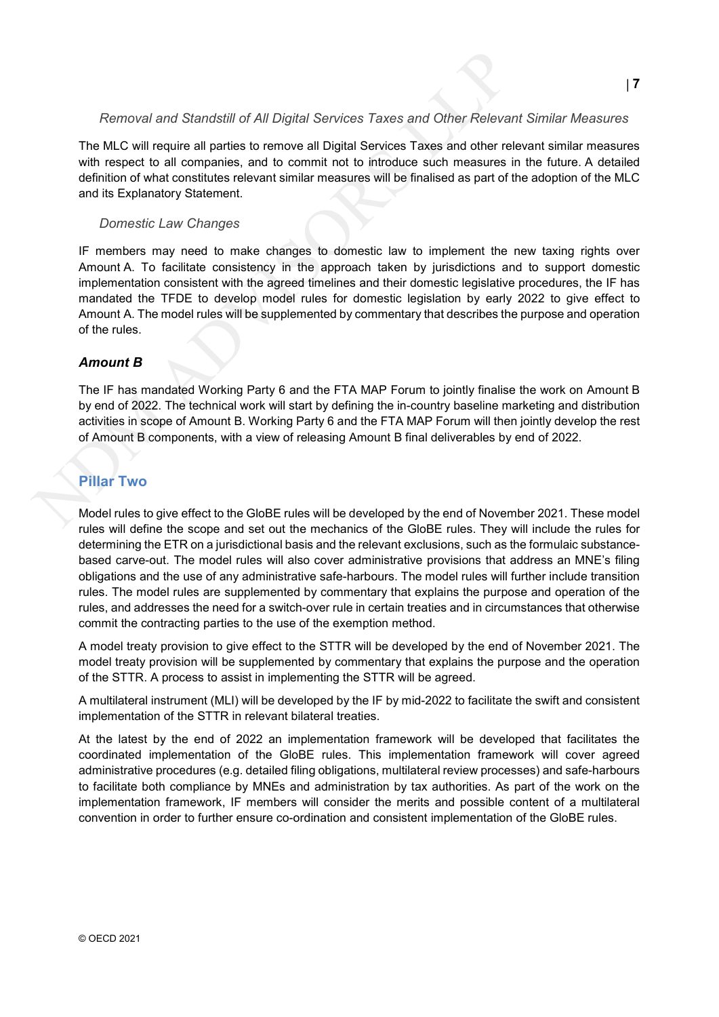#### *Removal and Standstill of All Digital Services Taxes and Other Relevant Similar Measures*

The MLC will require all parties to remove all Digital Services Taxes and other relevant similar measures with respect to all companies, and to commit not to introduce such measures in the future. A detailed definition of what constitutes relevant similar measures will be finalised as part of the adoption of the MLC and its Explanatory Statement.

#### *Domestic Law Changes*

Removal and Standstill of All Digital Services Taxes and Other Relevant<br>The MLC will require all parties to remove all Digital Services Taxes and other relevith respect to all companies, and to commit not to introduce such IF members may need to make changes to domestic law to implement the new taxing rights over Amount A. To facilitate consistency in the approach taken by jurisdictions and to support domestic implementation consistent with the agreed timelines and their domestic legislative procedures, the IF has mandated the TFDE to develop model rules for domestic legislation by early 2022 to give effect to Amount A. The model rules will be supplemented by commentary that describes the purpose and operation of the rules.

#### *Amount B*

The IF has mandated Working Party 6 and the FTA MAP Forum to jointly finalise the work on Amount B by end of 2022. The technical work will start by defining the in-country baseline marketing and distribution activities in scope of Amount B. Working Party 6 and the FTA MAP Forum will then jointly develop the rest of Amount B components, with a view of releasing Amount B final deliverables by end of 2022.

# **Pillar Two**

Model rules to give effect to the GloBE rules will be developed by the end of November 2021. These model rules will define the scope and set out the mechanics of the GloBE rules. They will include the rules for determining the ETR on a jurisdictional basis and the relevant exclusions, such as the formulaic substancebased carve-out. The model rules will also cover administrative provisions that address an MNE's filing obligations and the use of any administrative safe-harbours. The model rules will further include transition rules. The model rules are supplemented by commentary that explains the purpose and operation of the rules, and addresses the need for a switch-over rule in certain treaties and in circumstances that otherwise commit the contracting parties to the use of the exemption method.

A model treaty provision to give effect to the STTR will be developed by the end of November 2021. The model treaty provision will be supplemented by commentary that explains the purpose and the operation of the STTR. A process to assist in implementing the STTR will be agreed.

A multilateral instrument (MLI) will be developed by the IF by mid-2022 to facilitate the swift and consistent implementation of the STTR in relevant bilateral treaties.

At the latest by the end of 2022 an implementation framework will be developed that facilitates the coordinated implementation of the GloBE rules. This implementation framework will cover agreed administrative procedures (e.g. detailed filing obligations, multilateral review processes) and safe-harbours to facilitate both compliance by MNEs and administration by tax authorities. As part of the work on the implementation framework, IF members will consider the merits and possible content of a multilateral convention in order to further ensure co-ordination and consistent implementation of the GloBE rules.